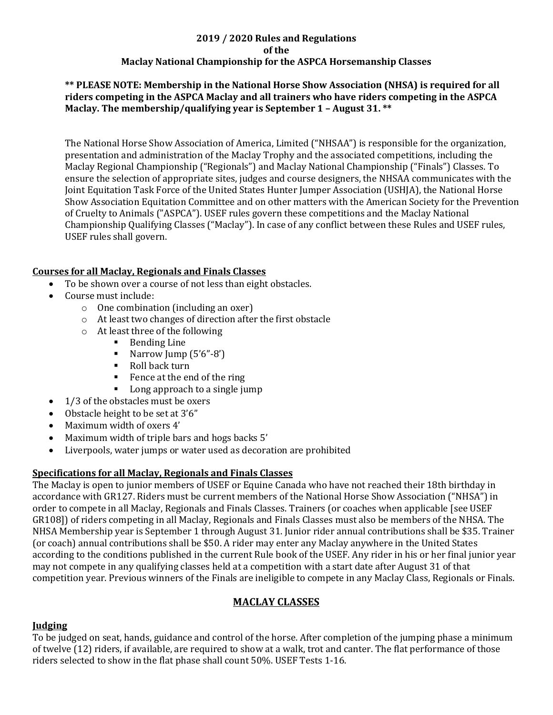## **2019 / 2020 Rules and Regulations of the Maclay National Championship for the ASPCA Horsemanship Classes**

#### **\*\* PLEASE NOTE: Membership in the National Horse Show Association (NHSA) is required for all riders competing in the ASPCA Maclay and all trainers who have riders competing in the ASPCA Maclay. The membership/qualifying year is September 1 – August 31. \*\***

The National Horse Show Association of America, Limited ("NHSAA") is responsible for the organization, presentation and administration of the Maclay Trophy and the associated competitions, including the Maclay Regional Championship ("Regionals") and Maclay National Championship ("Finals") Classes. To ensure the selection of appropriate sites, judges and course designers, the NHSAA communicates with the Joint Equitation Task Force of the United States Hunter Jumper Association (USHJA), the National Horse Show Association Equitation Committee and on other matters with the American Society for the Prevention of Cruelty to Animals ("ASPCA"). USEF rules govern these competitions and the Maclay National Championship Qualifying Classes ("Maclay"). In case of any conflict between these Rules and USEF rules, USEF rules shall govern.

## **Courses for all Maclay, Regionals and Finals Classes**

- To be shown over a course of not less than eight obstacles.
- Course must include:
	- o One combination (including an oxer)
	- o At least two changes of direction after the first obstacle
	- o At least three of the following
		- Bending Line
		- **■** Narrow Jump  $(5'6''-8')$
		- Roll back turn
		- Fence at the end of the ring
		- Long approach to a single jump
- 1/3 of the obstacles must be oxers
- Obstacle height to be set at 3'6"
- Maximum width of oxers 4'
- Maximum width of triple bars and hogs backs 5'
- Liverpools, water jumps or water used as decoration are prohibited

## **Specifications for all Maclay, Regionals and Finals Classes**

The Maclay is open to junior members of USEF or Equine Canada who have not reached their 18th birthday in accordance with GR127. Riders must be current members of the National Horse Show Association ("NHSA") in order to compete in all Maclay, Regionals and Finals Classes. Trainers (or coaches when applicable [see USEF GR108]) of riders competing in all Maclay, Regionals and Finals Classes must also be members of the NHSA. The NHSA Membership year is September 1 through August 31. Junior rider annual contributions shall be \$35. Trainer (or coach) annual contributions shall be \$50. A rider may enter any Maclay anywhere in the United States according to the conditions published in the current Rule book of the USEF. Any rider in his or her final junior year may not compete in any qualifying classes held at a competition with a start date after August 31 of that competition year. Previous winners of the Finals are ineligible to compete in any Maclay Class, Regionals or Finals.

## **MACLAY CLASSES**

#### **Judging**

To be judged on seat, hands, guidance and control of the horse. After completion of the jumping phase a minimum of twelve (12) riders, if available, are required to show at a walk, trot and canter. The flat performance of those riders selected to show in the flat phase shall count 50%. USEF Tests 1-16.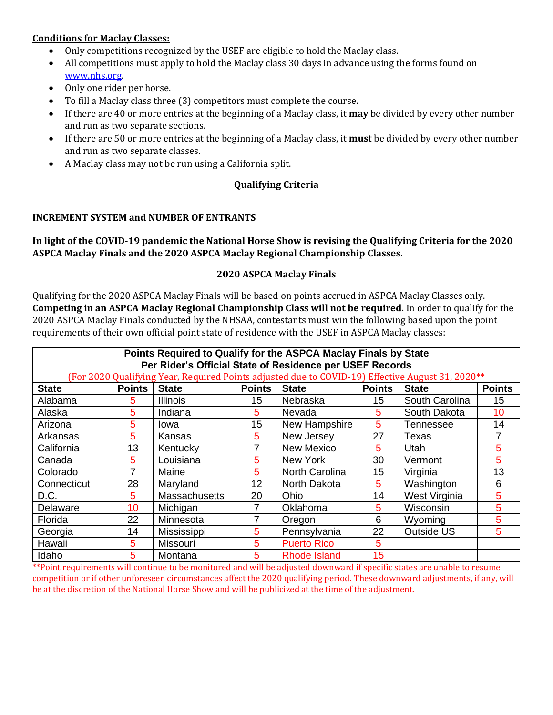#### **Conditions for Maclay Classes:**

- Only competitions recognized by the USEF are eligible to hold the Maclay class.
- All competitions must apply to hold the Maclay class 30 days in advance using the forms found on [www.nhs.org.](http://www.nhs.org/)
- Only one rider per horse.
- To fill a Maclay class three (3) competitors must complete the course.
- If there are 40 or more entries at the beginning of a Maclay class, it **may** be divided by every other number and run as two separate sections.
- If there are 50 or more entries at the beginning of a Maclay class, it **must** be divided by every other number and run as two separate classes.
- A Maclay class may not be run using a California split.

## **Qualifying Criteria**

#### **INCREMENT SYSTEM and NUMBER OF ENTRANTS**

## **In light of the COVID-19 pandemic the National Horse Show is revising the Qualifying Criteria for the 2020 ASPCA Maclay Finals and the 2020 ASPCA Maclay Regional Championship Classes.**

#### **2020 ASPCA Maclay Finals**

Qualifying for the 2020 ASPCA Maclay Finals will be based on points accrued in ASPCA Maclay Classes only. **Competing in an ASPCA Maclay Regional Championship Class will not be required.** In order to qualify for the 2020 ASPCA Maclay Finals conducted by the NHSAA, contestants must win the following based upon the point requirements of their own official point state of residence with the USEF in ASPCA Maclay classes:

| Points Required to Qualify for the ASPCA Maclay Finals by State<br>Per Rider's Official State of Residence per USEF Records |               |                      |               |                     |                  |                  |               |  |  |  |  |  |
|-----------------------------------------------------------------------------------------------------------------------------|---------------|----------------------|---------------|---------------------|------------------|------------------|---------------|--|--|--|--|--|
| (For 2020 Qualifying Year, Required Points adjusted due to COVID-19) Effective August 31, 2020**                            |               |                      |               |                     |                  |                  |               |  |  |  |  |  |
| <b>State</b>                                                                                                                | <b>Points</b> | <b>State</b>         | <b>Points</b> | <b>State</b>        | <b>Points</b>    | <b>State</b>     | <b>Points</b> |  |  |  |  |  |
| Alabama                                                                                                                     | 5             | <b>Illinois</b>      | 15            | Nebraska            | 15               | South Carolina   | 15            |  |  |  |  |  |
| Alaska                                                                                                                      | 5             | Indiana              | 5             | Nevada              | 5                | South Dakota     | 10            |  |  |  |  |  |
| Arizona                                                                                                                     | 5             | Iowa                 | 15            | New Hampshire       | 5                | <b>Tennessee</b> | 14            |  |  |  |  |  |
| Arkansas                                                                                                                    | 5             | Kansas               | 5             | New Jersey          | 27               | Texas            |               |  |  |  |  |  |
| California                                                                                                                  | 13            | Kentucky             | 7             | <b>New Mexico</b>   | 5                | Utah             | 5             |  |  |  |  |  |
| Canada                                                                                                                      | 5             | Louisiana            | 5             | New York            | 30               | Vermont          | 5             |  |  |  |  |  |
| Colorado                                                                                                                    | 7             | Maine                | 5             | North Carolina      | 15 <sub>15</sub> | Virginia         | 13            |  |  |  |  |  |
| Connecticut                                                                                                                 | 28            | Maryland             | 12            | North Dakota        | 5                | Washington       | 6             |  |  |  |  |  |
| D.C.                                                                                                                        | 5             | <b>Massachusetts</b> | 20            | Ohio                | 14               | West Virginia    | 5             |  |  |  |  |  |
| Delaware                                                                                                                    | 10            | Michigan             | 7             | Oklahoma            | 5                | Wisconsin        | 5             |  |  |  |  |  |
| Florida                                                                                                                     | 22            | Minnesota            | 7             | Oregon              | 6                | Wyoming          | 5             |  |  |  |  |  |
| Georgia                                                                                                                     | 14            | Mississippi          | 5             | Pennsylvania        | 22               | Outside US       | 5             |  |  |  |  |  |
| Hawaii                                                                                                                      | 5             | Missouri             | 5             | <b>Puerto Rico</b>  | 5                |                  |               |  |  |  |  |  |
| Idaho                                                                                                                       | 5             | Montana              | 5             | <b>Rhode Island</b> | 15               |                  |               |  |  |  |  |  |

\*\*Point requirements will continue to be monitored and will be adjusted downward if specific states are unable to resume competition or if other unforeseen circumstances affect the 2020 qualifying period. These downward adjustments, if any, will be at the discretion of the National Horse Show and will be publicized at the time of the adjustment.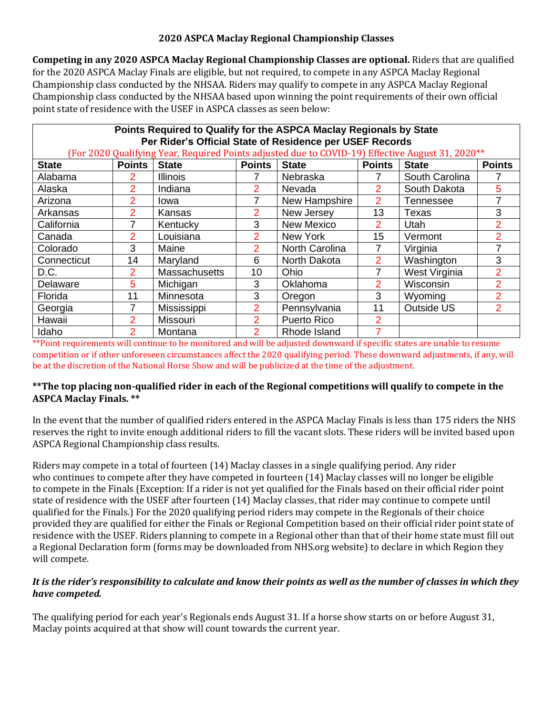## **2020 ASPCA Maclay Regional Championship Classes**

**Competing in any 2020 ASPCA Maclay Regional Championship Classes are optional.** Riders that are qualified for the 2020 ASPCA Maclay Finals are eligible, but not required, to compete in any ASPCA Maclay Regional Championship class conducted by the NHSAA. Riders may qualify to compete in any ASPCA Maclay Regional Championship class conducted by the NHSAA based upon winning the point requirements of their own official point state of residence with the USEF in ASPCA classes as seen below:

| Points Required to Qualify for the ASPCA Maclay Regionals by State<br>Per Rider's Official State of Residence per USEF Records |                |                      |               |                       |                |                |                |  |  |  |  |  |
|--------------------------------------------------------------------------------------------------------------------------------|----------------|----------------------|---------------|-----------------------|----------------|----------------|----------------|--|--|--|--|--|
| (For 2020 Qualifying Year, Required Points adjusted due to COVID-19) Effective August 31, 2020**                               |                |                      |               |                       |                |                |                |  |  |  |  |  |
| <b>State</b>                                                                                                                   | <b>Points</b>  | <b>State</b>         | <b>Points</b> | <b>State</b>          | <b>Points</b>  | <b>State</b>   | <b>Points</b>  |  |  |  |  |  |
| Alabama                                                                                                                        | 2              | <b>Illinois</b>      |               | Nebraska              |                | South Carolina |                |  |  |  |  |  |
| Alaska                                                                                                                         | 2              | Indiana              | 2             | <b>Nevada</b>         | 2              | South Dakota   | 5              |  |  |  |  |  |
| Arizona                                                                                                                        | $\overline{2}$ | Iowa                 | 7             | New Hampshire         | $\overline{2}$ | Tennessee      | 7              |  |  |  |  |  |
| Arkansas                                                                                                                       | 2              | Kansas               | 2             | New Jersey            | 13             | Texas          | 3              |  |  |  |  |  |
| California                                                                                                                     |                | Kentucky             | 3             | <b>New Mexico</b>     | $\overline{2}$ | Utah           | $\overline{2}$ |  |  |  |  |  |
| Canada                                                                                                                         | $\overline{2}$ | Louisiana            | 2             | New York              | 15             | Vermont        | $\overline{2}$ |  |  |  |  |  |
| Colorado                                                                                                                       | 3              | Maine                | 2             | <b>North Carolina</b> |                | Virginia       | 7              |  |  |  |  |  |
| Connecticut                                                                                                                    | 14             | Maryland             | 6             | North Dakota          | 2              | Washington     | 3              |  |  |  |  |  |
| D.C.                                                                                                                           | 2              | <b>Massachusetts</b> | 10            | Ohio                  | 7              | West Virginia  | $\overline{2}$ |  |  |  |  |  |
| Delaware                                                                                                                       | 5              | Michigan             | 3             | Oklahoma              | 2              | Wisconsin      | 2              |  |  |  |  |  |
| Florida                                                                                                                        | 11             | Minnesota            | 3             | Oregon                | 3              | Wyoming        | 2              |  |  |  |  |  |
| Georgia                                                                                                                        | 7              | Mississippi          | 2             | Pennsylvania          | 11             | Outside US     | $\overline{2}$ |  |  |  |  |  |
| Hawaii                                                                                                                         | 2              | <b>Missouri</b>      | 2             | <b>Puerto Rico</b>    | 2              |                |                |  |  |  |  |  |
| Idaho                                                                                                                          | 2              | Montana              | 2             | Rhode Island          |                |                |                |  |  |  |  |  |

\*\*Point requirements will continue to be monitored and will be adjusted downward if specific states are unable to resume competition or if other unforeseen circumstances affect the 2020 qualifying period. These downward adjustments, if any, will be at the discretion of the National Horse Show and will be publicized at the time of the adjustment.

## **\*\*The top placing non-qualified rider in each of the Regional competitions will qualify to compete in the ASPCA Maclay Finals. \*\***

In the event that the number of qualified riders entered in the ASPCA Maclay Finals is less than 175 riders the NHS reserves the right to invite enough additional riders to fill the vacant slots. These riders will be invited based upon ASPCA Regional Championship class results.

Riders may compete in a total of fourteen (14) Maclay classes in a single qualifying period. Any rider who continues to compete after they have competed in fourteen (14) Maclay classes will no longer be eligible to compete in the Finals (Exception: If a rider is not yet qualified for the Finals based on their official rider point state of residence with the USEF after fourteen (14) Maclay classes, that rider may continue to compete until qualified for the Finals.) For the 2020 qualifying period riders may compete in the Regionals of their choice provided they are qualified for either the Finals or Regional Competition based on their official rider point state of residence with the USEF. Riders planning to compete in a Regional other than that of their home state must fill out a Regional Declaration form (forms may be downloaded from NHS.org website) to declare in which Region they will compete.

## *It is the rider's responsibility to calculate and know their points as well as the number of classes in which they have competed.*

The qualifying period for each year's Regionals ends August 31. If a horse show starts on or before August 31, Maclay points acquired at that show will count towards the current year.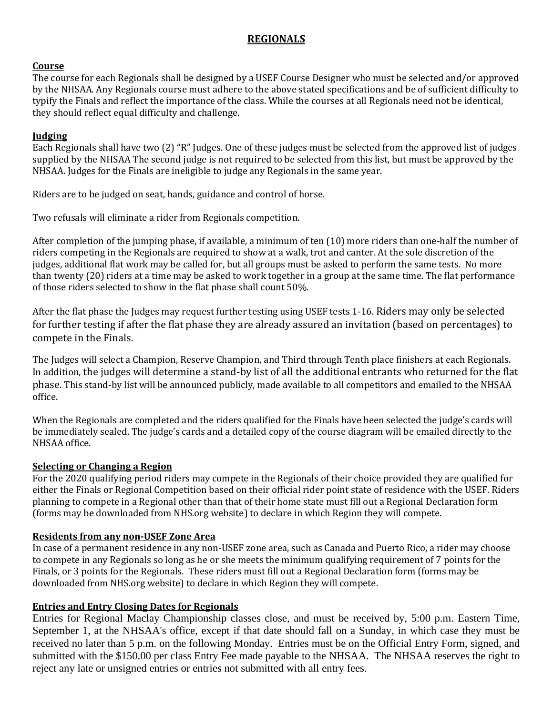# **REGIONALS**

#### **Course**

The course for each Regionals shall be designed by a USEF Course Designer who must be selected and/or approved by the NHSAA. Any Regionals course must adhere to the above stated specifications and be of sufficient difficulty to typify the Finals and reflect the importance of the class. While the courses at all Regionals need not be identical, they should reflect equal difficulty and challenge.

#### **Judging**

Each Regionals shall have two (2) "R" Judges. One of these judges must be selected from the approved list of judges supplied by the NHSAA The second judge is not required to be selected from this list, but must be approved by the NHSAA. Judges for the Finals are ineligible to judge any Regionals in the same year.

Riders are to be judged on seat, hands, guidance and control of horse.

Two refusals will eliminate a rider from Regionals competition.

After completion of the jumping phase, if available, a minimum of ten (10) more riders than one-half the number of riders competing in the Regionals are required to show at a walk, trot and canter. At the sole discretion of the judges, additional flat work may be called for, but all groups must be asked to perform the same tests. No more than twenty (20) riders at a time may be asked to work together in a group at the same time. The flat performance of those riders selected to show in the flat phase shall count 50%.

After the flat phase the Judges may request further testing using USEF tests 1-16. Riders may only be selected for further testing if after the flat phase they are already assured an invitation (based on percentages) to compete in the Finals.

The Judges will select a Champion, Reserve Champion, and Third through Tenth place finishers at each Regionals. In addition, the judges will determine a stand-by list of all the additional entrants who returned for the flat phase. This stand-by list will be announced publicly, made available to all competitors and emailed to the NHSAA office.

When the Regionals are completed and the riders qualified for the Finals have been selected the judge's cards will be immediately sealed. The judge's cards and a detailed copy of the course diagram will be emailed directly to the NHSAA office.

#### **Selecting or Changing a Region**

For the 2020 qualifying period riders may compete in the Regionals of their choice provided they are qualified for either the Finals or Regional Competition based on their official rider point state of residence with the USEF. Riders planning to compete in a Regional other than that of their home state must fill out a Regional Declaration form (forms may be downloaded from NHS.org website) to declare in which Region they will compete.

#### **Residents from any non-USEF Zone Area**

In case of a permanent residence in any non-USEF zone area, such as Canada and Puerto Rico, a rider may choose to compete in any Regionals so long as he or she meets the minimum qualifying requirement of 7 points for the Finals, or 3 points for the Regionals. These riders must fill out a Regional Declaration form (forms may be downloaded from NHS.org website) to declare in which Region they will compete.

#### **Entries and Entry Closing Dates for Regionals**

Entries for Regional Maclay Championship classes close, and must be received by, 5:00 p.m. Eastern Time, September 1, at the NHSAA's office, except if that date should fall on a Sunday, in which case they must be received no later than 5 p.m. on the following Monday. Entries must be on the Official Entry Form, signed, and submitted with the \$150.00 per class Entry Fee made payable to the NHSAA. The NHSAA reserves the right to reject any late or unsigned entries or entries not submitted with all entry fees.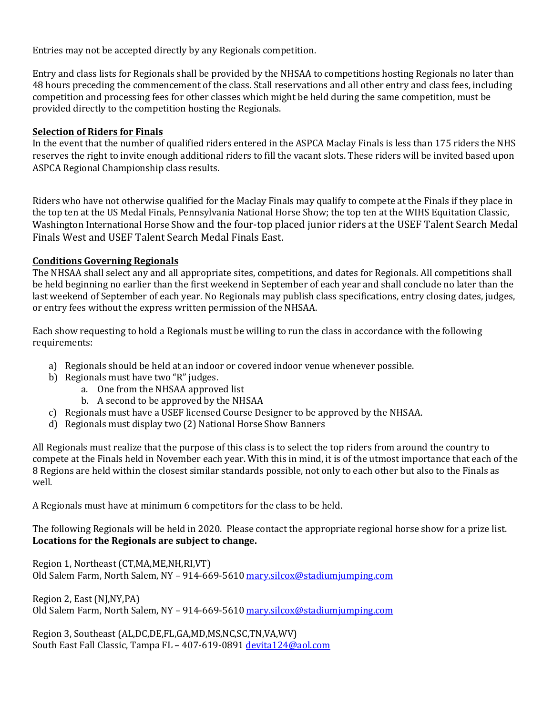Entries may not be accepted directly by any Regionals competition.

Entry and class lists for Regionals shall be provided by the NHSAA to competitions hosting Regionals no later than 48 hours preceding the commencement of the class. Stall reservations and all other entry and class fees, including competition and processing fees for other classes which might be held during the same competition, must be provided directly to the competition hosting the Regionals.

## **Selection of Riders for Finals**

In the event that the number of qualified riders entered in the ASPCA Maclay Finals is less than 175 riders the NHS reserves the right to invite enough additional riders to fill the vacant slots. These riders will be invited based upon ASPCA Regional Championship class results.

Riders who have not otherwise qualified for the Maclay Finals may qualify to compete at the Finals if they place in the top ten at the US Medal Finals, Pennsylvania National Horse Show; the top ten at the WIHS Equitation Classic, Washington International Horse Show and the four-top placed junior riders at the USEF Talent Search Medal Finals West and USEF Talent Search Medal Finals East.

## **Conditions Governing Regionals**

The NHSAA shall select any and all appropriate sites, competitions, and dates for Regionals. All competitions shall be held beginning no earlier than the first weekend in September of each year and shall conclude no later than the last weekend of September of each year. No Regionals may publish class specifications, entry closing dates, judges, or entry fees without the express written permission of the NHSAA.

Each show requesting to hold a Regionals must be willing to run the class in accordance with the following requirements:

- a) Regionals should be held at an indoor or covered indoor venue whenever possible.
- b) Regionals must have two "R" judges.
	- a. One from the NHSAA approved list
	- b. A second to be approved by the NHSAA
- c) Regionals must have a USEF licensed Course Designer to be approved by the NHSAA.
- d) Regionals must display two (2) National Horse Show Banners

All Regionals must realize that the purpose of this class is to select the top riders from around the country to compete at the Finals held in November each year. With this in mind, it is of the utmost importance that each of the 8 Regions are held within the closest similar standards possible, not only to each other but also to the Finals as well.

A Regionals must have at minimum 6 competitors for the class to be held.

The following Regionals will be held in 2020. Please contact the appropriate regional horse show for a prize list. **Locations for the Regionals are subject to change.** 

Region 1, Northeast (CT,MA,ME,NH,RI,VT) Old Salem Farm, North Salem, NY - 914-669-5610 [mary.silcox@stadiumjumping.com](mailto:mary.silcox@stadiumjumping.com)

Region 2, East (NJ,NY,PA) Old Salem Farm, North Salem, NY - 914-669-5610 [mary.silcox@stadiumjumping.com](mailto:mary.silcox@stadiumjumping.com)

Region 3, Southeast (AL,DC,DE,FL,GA,MD,MS,NC,SC,TN,VA,WV) South East Fall Classic, Tampa FL - 407-619-0891 [devita124@aol.com](mailto:devita124@aol.com)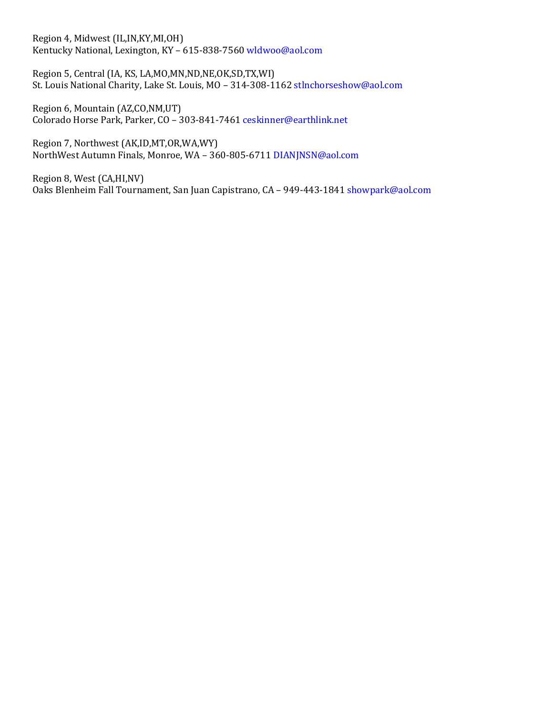Region 4, Midwest (IL,IN,KY,MI,OH) Kentucky National, Lexington, KY – 615-838-7560 wldwoo@aol.com

Region 5, Central (IA, KS, LA,MO,MN,ND,NE,OK,SD,TX,WI) St. Louis National Charity, Lake St. Louis, MO – 314-308-1162 stlnchorseshow@aol.com

Region 6, Mountain (AZ,CO,NM,UT) Colorado Horse Park, Parker, CO – 303-841-7461 ceskinner@earthlink.net

Region 7, Northwest (AK,ID,MT,OR,WA,WY) NorthWest Autumn Finals, Monroe, WA – 360-805-6711 DIANJNSN@aol.com

Region 8, West (CA,HI,NV) Oaks Blenheim Fall Tournament, San Juan Capistrano, CA – 949-443-1841 showpark@aol.com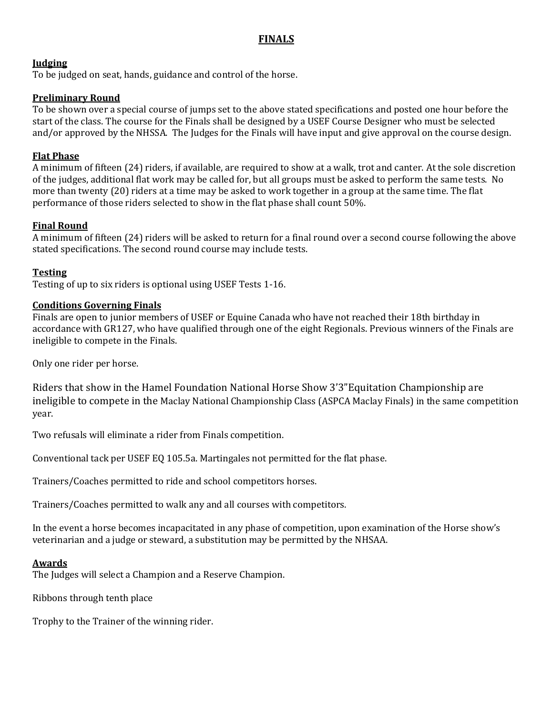# **FINALS**

## **Judging**

To be judged on seat, hands, guidance and control of the horse.

## **Preliminary Round**

To be shown over a special course of jumps set to the above stated specifications and posted one hour before the start of the class. The course for the Finals shall be designed by a USEF Course Designer who must be selected and/or approved by the NHSSA. The Judges for the Finals will have input and give approval on the course design.

## **Flat Phase**

A minimum of fifteen (24) riders, if available, are required to show at a walk, trot and canter. At the sole discretion of the judges, additional flat work may be called for, but all groups must be asked to perform the same tests. No more than twenty (20) riders at a time may be asked to work together in a group at the same time. The flat performance of those riders selected to show in the flat phase shall count 50%.

## **Final Round**

A minimum of fifteen (24) riders will be asked to return for a final round over a second course following the above stated specifications. The second round course may include tests.

## **Testing**

Testing of up to six riders is optional using USEF Tests 1-16.

#### **Conditions Governing Finals**

Finals are open to junior members of USEF or Equine Canada who have not reached their 18th birthday in accordance with GR127, who have qualified through one of the eight Regionals. Previous winners of the Finals are ineligible to compete in the Finals.

Only one rider per horse.

Riders that show in the Hamel Foundation National Horse Show 3'3"Equitation Championship are ineligible to compete in the Maclay National Championship Class (ASPCA Maclay Finals) in the same competition year.

Two refusals will eliminate a rider from Finals competition.

Conventional tack per USEF EQ 105.5a. Martingales not permitted for the flat phase.

Trainers/Coaches permitted to ride and school competitors horses.

Trainers/Coaches permitted to walk any and all courses with competitors.

In the event a horse becomes incapacitated in any phase of competition, upon examination of the Horse show's veterinarian and a judge or steward, a substitution may be permitted by the NHSAA.

#### **Awards**

The Judges will select a Champion and a Reserve Champion.

Ribbons through tenth place

Trophy to the Trainer of the winning rider.